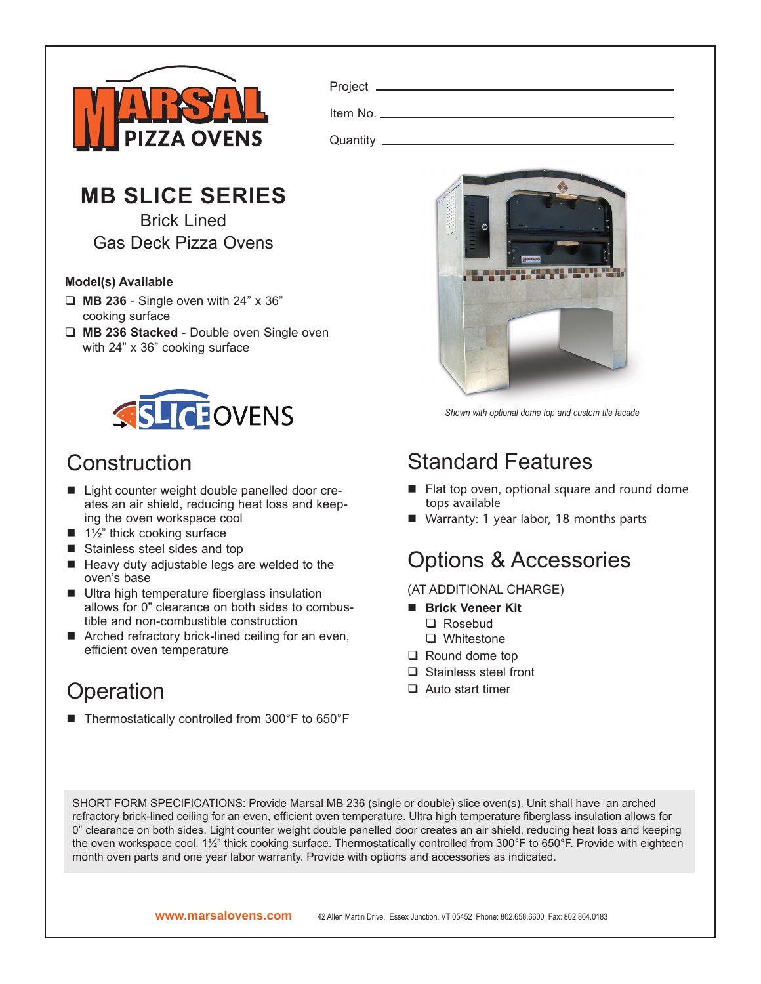

Project

Item No.

Quantity

#### **MB SLICE SERIES** Brick Lined Gas Deck Pizza Ovens

#### **Model(s) Available**

- **MB 236** Single oven with 24" x 36" cooking surface
- **MB 236 Stacked** Double oven Single oven with 24" x 36" cooking surface



### **Construction**

- Light counter weight double panelled door creates an air shield, reducing heat loss and keeping the oven workspace cool
- $\blacksquare$  1½" thick cooking surface
- Stainless steel sides and top
- Heavy duty adjustable legs are welded to the oven's base
- Ultra high temperature fiberglass insulation allows for 0" clearance on both sides to combustible and non-combustible construction
- Arched refractory brick-lined ceiling for an even, efficient oven temperature

## **Operation**

■ Thermostatically controlled from 300°F to 650°F



*Shown with optional dome top and custom tile facade*

# Standard Features

- Flat top oven, optional square and round dome tops available
- Warranty: 1 year labor, 18 months parts

### Options & Accessories

#### (AT ADDITIONAL CHARGE)

- **Brick Veneer Kit** 
	- □ Rosebud
	- □ Whitestone
- □ Round dome top
- □ Stainless steel front
- □ Auto start timer

SHORT FORM SPECIFICATIONS: Provide Marsal MB 236 (single or double) slice oven(s). Unit shall have an arched refractory brick-lined ceiling for an even, efficient oven temperature. Ultra high temperature fiberglass insulation allows for 0" clearance on both sides. Light counter weight double panelled door creates an air shield, reducing heat loss and keeping the oven workspace cool. 1½" thick cooking surface. Thermostatically controlled from 300°F to 650°F. Provide with eighteen month oven parts and one year labor warranty. Provide with options and accessories as indicated.

**www.marsalovens.com** 42 Allen Martin Drive, Essex Junction, VT 05452 Phone: 802.658.6600 Fax: 802.864.0183